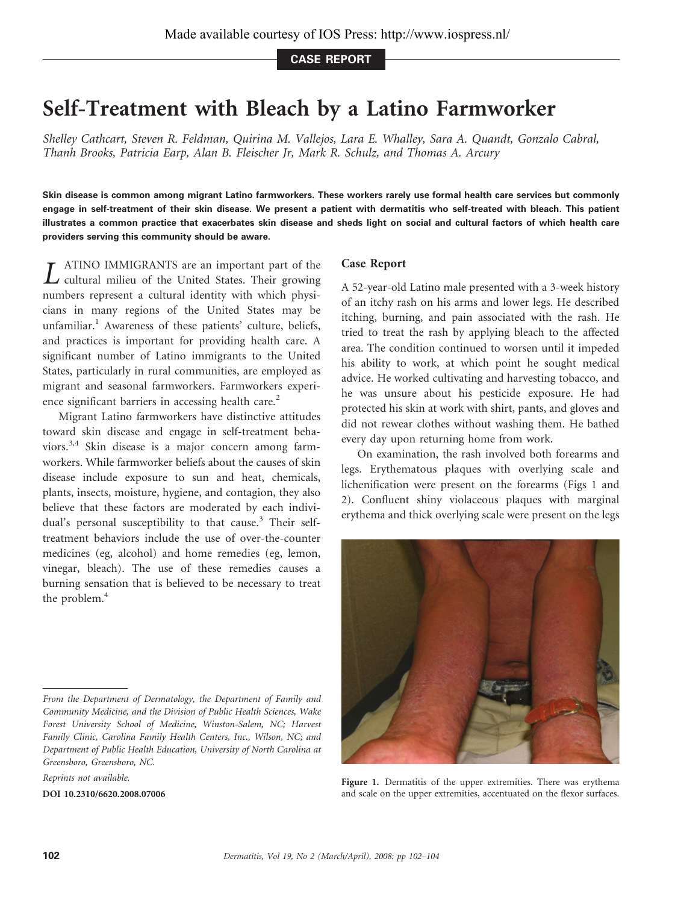CASE REPORT

## Self-Treatment with Bleach by a Latino Farmworker

Shelley Cathcart, Steven R. Feldman, Quirina M. Vallejos, Lara E. Whalley, Sara A. Quandt, Gonzalo Cabral, Thanh Brooks, Patricia Earp, Alan B. Fleischer Jr, [Mark R. Schulz,](http://libres.uncg.edu/ir/uncg/clist.aspx?id=1579) and Thomas A. Arcury

Skin disease is common among migrant Latino farmworkers. These workers rarely use formal health care services but commonly engage in self-treatment of their skin disease. We present a patient with dermatitis who self-treated with bleach. This patient illustrates a common practice that exacerbates skin disease and sheds light on social and cultural factors of which health care providers serving this community should be aware.

L ATINO IMMIGRANTS are an important part of the cultural milieu of the United States. Their growing numbers represent a cultural identity with which physicians in many regions of the United States may be unfamiliar.<sup>1</sup> Awareness of these patients' culture, beliefs, and practices is important for providing health care. A significant number of Latino immigrants to the United States, particularly in rural communities, are employed as migrant and seasonal farmworkers. Farmworkers experience significant barriers in accessing health care.<sup>2</sup>

Migrant Latino farmworkers have distinctive attitudes toward skin disease and engage in self-treatment behaviors.3,4 Skin disease is a major concern among farmworkers. While farmworker beliefs about the causes of skin disease include exposure to sun and heat, chemicals, plants, insects, moisture, hygiene, and contagion, they also believe that these factors are moderated by each individual's personal susceptibility to that cause.<sup>3</sup> Their selftreatment behaviors include the use of over-the-counter medicines (eg, alcohol) and home remedies (eg, lemon, vinegar, bleach). The use of these remedies causes a burning sensation that is believed to be necessary to treat the problem.<sup>4</sup>

## Case Report

A 52-year-old Latino male presented with a 3-week history of an itchy rash on his arms and lower legs. He described itching, burning, and pain associated with the rash. He tried to treat the rash by applying bleach to the affected area. The condition continued to worsen until it impeded his ability to work, at which point he sought medical advice. He worked cultivating and harvesting tobacco, and he was unsure about his pesticide exposure. He had protected his skin at work with shirt, pants, and gloves and did not rewear clothes without washing them. He bathed every day upon returning home from work.

On examination, the rash involved both forearms and legs. Erythematous plaques with overlying scale and lichenification were present on the forearms (Figs 1 and 2). Confluent shiny violaceous plaques with marginal erythema and thick overlying scale were present on the legs



Figure 1. Dermatitis of the upper extremities. There was erythema and scale on the upper extremities, accentuated on the flexor surfaces.

From the Department of Dermatology, the Department of Family and Community Medicine, and the Division of Public Health Sciences, Wake Forest University School of Medicine, Winston-Salem, NC; Harvest Family Clinic, Carolina Family Health Centers, Inc., Wilson, NC; and Department of Public Health Education, University of North Carolina at Greensboro, Greensboro, NC.

Reprints not available.

DOI 10.2310/6620.2008.07006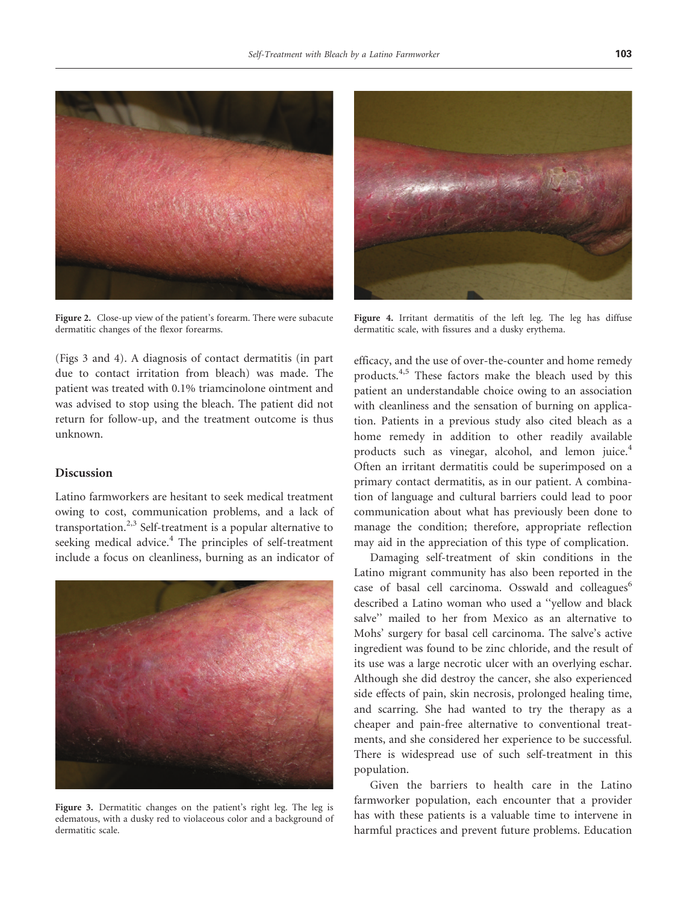

Figure 2. Close-up view of the patient's forearm. There were subacute dermatitic changes of the flexor forearms.

(Figs 3 and 4). A diagnosis of contact dermatitis (in part due to contact irritation from bleach) was made. The patient was treated with 0.1% triamcinolone ointment and was advised to stop using the bleach. The patient did not return for follow-up, and the treatment outcome is thus unknown.

## Discussion

Latino farmworkers are hesitant to seek medical treatment owing to cost, communication problems, and a lack of transportation.<sup>2,3</sup> Self-treatment is a popular alternative to seeking medical advice.<sup>4</sup> The principles of self-treatment include a focus on cleanliness, burning as an indicator of



Figure 3. Dermatitic changes on the patient's right leg. The leg is edematous, with a dusky red to violaceous color and a background of dermatitic scale.



Figure 4. Irritant dermatitis of the left leg. The leg has diffuse dermatitic scale, with fissures and a dusky erythema.

efficacy, and the use of over-the-counter and home remedy products.4,5 These factors make the bleach used by this patient an understandable choice owing to an association with cleanliness and the sensation of burning on application. Patients in a previous study also cited bleach as a home remedy in addition to other readily available products such as vinegar, alcohol, and lemon juice.<sup>4</sup> Often an irritant dermatitis could be superimposed on a primary contact dermatitis, as in our patient. A combination of language and cultural barriers could lead to poor communication about what has previously been done to manage the condition; therefore, appropriate reflection may aid in the appreciation of this type of complication.

Damaging self-treatment of skin conditions in the Latino migrant community has also been reported in the case of basal cell carcinoma. Osswald and colleagues<sup>6</sup> described a Latino woman who used a ''yellow and black salve'' mailed to her from Mexico as an alternative to Mohs' surgery for basal cell carcinoma. The salve's active ingredient was found to be zinc chloride, and the result of its use was a large necrotic ulcer with an overlying eschar. Although she did destroy the cancer, she also experienced side effects of pain, skin necrosis, prolonged healing time, and scarring. She had wanted to try the therapy as a cheaper and pain-free alternative to conventional treatments, and she considered her experience to be successful. There is widespread use of such self-treatment in this population.

Given the barriers to health care in the Latino farmworker population, each encounter that a provider has with these patients is a valuable time to intervene in harmful practices and prevent future problems. Education